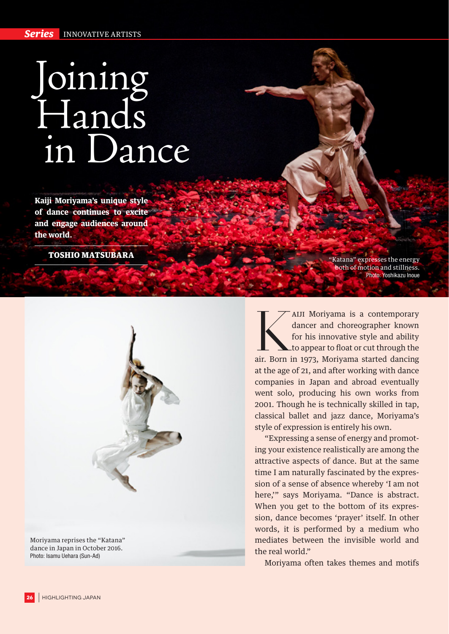## Joining Hands in Dance

**Kaiji Moriyama's unique style of dance continues to excite and engage audiences around the world.**

TOSHIO MATSUBARA



dance in Japan in October 2016. Photo: Isamu Uehara (Sun-Ad)

"Katana" expresses the energy both of motion and stillness. Photo: Yoshikazu Inoue

KAIJI Moriyama is a contemporary<br>
dancer and choreographer known<br>
for his innovative style and ability<br>
to appear to float or cut through the<br>
air. Born in 1973, Moriyama started dancing dancer and choreographer known for his innovative style and ability to appear to float or cut through the at the age of 21, and after working with dance companies in Japan and abroad eventually went solo, producing his own works from 2001. Though he is technically skilled in tap, classical ballet and jazz dance, Moriyama's style of expression is entirely his own.

"Expressing a sense of energy and promoting your existence realistically are among the attractive aspects of dance. But at the same time I am naturally fascinated by the expression of a sense of absence whereby 'I am not here,'" says Moriyama. "Dance is abstract. When you get to the bottom of its expression, dance becomes 'prayer' itself. In other words, it is performed by a medium who mediates between the invisible world and the real world."

Moriyama often takes themes and motifs